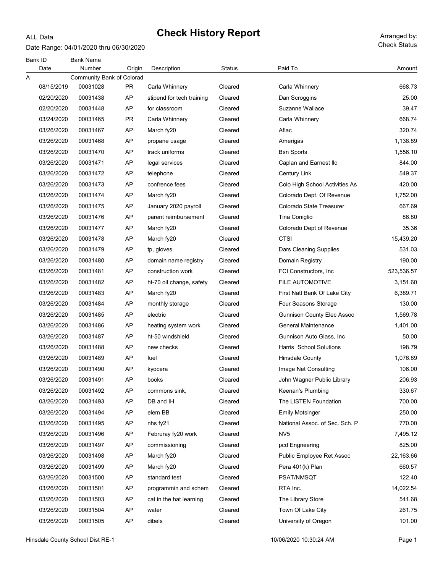#### Date Range: 04/01/2020 thru 06/30/2020

ALL Data

| Paid To<br>Number<br>Date<br>Origin<br>Description<br>Status<br>Community Bank of Colorad<br>Α<br>00031028<br>08/15/2019<br>PR.<br>Carla Whinnery<br>Carla Whinnery<br>Cleared<br>AP<br>02/20/2020<br>00031438<br>stipend for tech training<br>Cleared<br>Dan Scroggins<br>02/20/2020<br>00031448<br>AP<br>Cleared<br>Suzanne Wallace<br>for classroom<br>03/24/2020<br>00031465<br>PR.<br>Cleared<br>Carla Whinnery<br>Carla Whinnery<br>03/26/2020<br>00031467<br>AP<br>March fy20<br>Cleared<br>Aflac<br>03/26/2020<br>00031468<br>AP<br>Cleared<br>Amerigas<br>propane usage<br>03/26/2020<br>00031470<br>AP<br>track uniforms<br>Cleared<br><b>Bsn Sports</b><br>03/26/2020<br>00031471<br>AP<br>Caplan and Earnest Ilc<br>legal services<br>Cleared<br>03/26/2020<br>00031472<br>AP<br>Cleared<br>telephone<br><b>Century Link</b> |            |
|------------------------------------------------------------------------------------------------------------------------------------------------------------------------------------------------------------------------------------------------------------------------------------------------------------------------------------------------------------------------------------------------------------------------------------------------------------------------------------------------------------------------------------------------------------------------------------------------------------------------------------------------------------------------------------------------------------------------------------------------------------------------------------------------------------------------------------------|------------|
|                                                                                                                                                                                                                                                                                                                                                                                                                                                                                                                                                                                                                                                                                                                                                                                                                                          | Amount     |
|                                                                                                                                                                                                                                                                                                                                                                                                                                                                                                                                                                                                                                                                                                                                                                                                                                          |            |
|                                                                                                                                                                                                                                                                                                                                                                                                                                                                                                                                                                                                                                                                                                                                                                                                                                          | 668.73     |
|                                                                                                                                                                                                                                                                                                                                                                                                                                                                                                                                                                                                                                                                                                                                                                                                                                          | 25.00      |
|                                                                                                                                                                                                                                                                                                                                                                                                                                                                                                                                                                                                                                                                                                                                                                                                                                          | 39.47      |
|                                                                                                                                                                                                                                                                                                                                                                                                                                                                                                                                                                                                                                                                                                                                                                                                                                          | 668.74     |
|                                                                                                                                                                                                                                                                                                                                                                                                                                                                                                                                                                                                                                                                                                                                                                                                                                          | 320.74     |
|                                                                                                                                                                                                                                                                                                                                                                                                                                                                                                                                                                                                                                                                                                                                                                                                                                          | 1,138.89   |
|                                                                                                                                                                                                                                                                                                                                                                                                                                                                                                                                                                                                                                                                                                                                                                                                                                          | 1,556.10   |
|                                                                                                                                                                                                                                                                                                                                                                                                                                                                                                                                                                                                                                                                                                                                                                                                                                          | 844.00     |
|                                                                                                                                                                                                                                                                                                                                                                                                                                                                                                                                                                                                                                                                                                                                                                                                                                          | 549.37     |
| AP<br>03/26/2020<br>00031473<br>confrence fees<br>Cleared<br>Colo High School Activities As                                                                                                                                                                                                                                                                                                                                                                                                                                                                                                                                                                                                                                                                                                                                              | 420.00     |
| AP<br>03/26/2020<br>00031474<br>March fy20<br>Cleared<br>Colorado Dept. Of Revenue                                                                                                                                                                                                                                                                                                                                                                                                                                                                                                                                                                                                                                                                                                                                                       | 1,752.00   |
| 03/26/2020<br>00031475<br>AP<br>Colorado State Treasurer<br>January 2020 payroll<br>Cleared                                                                                                                                                                                                                                                                                                                                                                                                                                                                                                                                                                                                                                                                                                                                              | 667.69     |
| 03/26/2020<br>00031476<br>AP<br>Cleared<br>Tina Coniglio<br>parent reimbursement                                                                                                                                                                                                                                                                                                                                                                                                                                                                                                                                                                                                                                                                                                                                                         | 86.80      |
| 03/26/2020<br>00031477<br>AP<br>Cleared<br>Colorado Dept of Revenue<br>March fy20                                                                                                                                                                                                                                                                                                                                                                                                                                                                                                                                                                                                                                                                                                                                                        | 35.36      |
| <b>CTSI</b><br>03/26/2020<br>00031478<br>AP<br>Cleared<br>March fy20                                                                                                                                                                                                                                                                                                                                                                                                                                                                                                                                                                                                                                                                                                                                                                     | 15,439.20  |
| 03/26/2020<br>00031479<br>AP<br>Cleared<br>tp, gloves<br>Dars Cleaning Supplies                                                                                                                                                                                                                                                                                                                                                                                                                                                                                                                                                                                                                                                                                                                                                          | 531.03     |
| 03/26/2020<br>00031480<br>AP<br>Cleared<br>Domain Registry<br>domain name registry                                                                                                                                                                                                                                                                                                                                                                                                                                                                                                                                                                                                                                                                                                                                                       | 190.00     |
| AP<br>03/26/2020<br>00031481<br>construction work<br>Cleared<br>FCI Constructors, Inc.                                                                                                                                                                                                                                                                                                                                                                                                                                                                                                                                                                                                                                                                                                                                                   | 523,536.57 |
| 03/26/2020<br>00031482<br>AP<br><b>FILE AUTOMOTIVE</b><br>ht-70 oil change, safety<br>Cleared                                                                                                                                                                                                                                                                                                                                                                                                                                                                                                                                                                                                                                                                                                                                            | 3,151.60   |
| 03/26/2020<br>00031483<br>AP<br>March fy20<br>Cleared<br>First Natl Bank Of Lake City                                                                                                                                                                                                                                                                                                                                                                                                                                                                                                                                                                                                                                                                                                                                                    | 6,389.71   |
| 03/26/2020<br>00031484<br>AP<br>Cleared<br>Four Seasons Storage<br>monthly storage                                                                                                                                                                                                                                                                                                                                                                                                                                                                                                                                                                                                                                                                                                                                                       | 130.00     |
| 03/26/2020<br>00031485<br>AP<br>Cleared<br><b>Gunnison County Elec Assoc</b><br>electric                                                                                                                                                                                                                                                                                                                                                                                                                                                                                                                                                                                                                                                                                                                                                 | 1,569.78   |
| 03/26/2020<br>00031486<br>AP<br>General Maintenance<br>heating system work<br>Cleared                                                                                                                                                                                                                                                                                                                                                                                                                                                                                                                                                                                                                                                                                                                                                    | 1,401.00   |
| 03/26/2020<br>00031487<br>AP<br>ht-50 windshield<br>Cleared<br>Gunnison Auto Glass, Inc.                                                                                                                                                                                                                                                                                                                                                                                                                                                                                                                                                                                                                                                                                                                                                 | 50.00      |
| 03/26/2020<br>00031488<br>AP<br>new checks<br>Cleared<br><b>Harris School Solutions</b>                                                                                                                                                                                                                                                                                                                                                                                                                                                                                                                                                                                                                                                                                                                                                  | 198.79     |
| 03/26/2020<br>00031489<br>AP<br>Cleared<br>fuel<br><b>Hinsdale County</b>                                                                                                                                                                                                                                                                                                                                                                                                                                                                                                                                                                                                                                                                                                                                                                | 1,076.89   |
| 03/26/2020<br>00031490<br>AP<br>Cleared<br>Image Net Consulting<br>kyocera                                                                                                                                                                                                                                                                                                                                                                                                                                                                                                                                                                                                                                                                                                                                                               | 106.00     |
| 03/26/2020<br>00031491<br>AP<br>Cleared<br>John Wagner Public Library<br>books                                                                                                                                                                                                                                                                                                                                                                                                                                                                                                                                                                                                                                                                                                                                                           | 206.93     |
| 00031492<br>AP<br>Keenan's Plumbing<br>03/26/2020<br>commons sink,<br>Cleared                                                                                                                                                                                                                                                                                                                                                                                                                                                                                                                                                                                                                                                                                                                                                            | 330.67     |
| 03/26/2020<br>00031493<br>AP<br>DB and IH<br>Cleared<br>The LISTEN Foundation                                                                                                                                                                                                                                                                                                                                                                                                                                                                                                                                                                                                                                                                                                                                                            | 700.00     |
| 03/26/2020<br>00031494<br>AP<br>elem BB<br>Cleared<br><b>Emily Motsinger</b>                                                                                                                                                                                                                                                                                                                                                                                                                                                                                                                                                                                                                                                                                                                                                             | 250.00     |
| 03/26/2020<br>00031495<br>AP<br>Cleared<br>National Assoc. of Sec. Sch. P<br>nhs fy21                                                                                                                                                                                                                                                                                                                                                                                                                                                                                                                                                                                                                                                                                                                                                    | 770.00     |
| 03/26/2020<br>00031496<br>AP<br>Februray fy20 work<br>Cleared<br>NV <sub>5</sub>                                                                                                                                                                                                                                                                                                                                                                                                                                                                                                                                                                                                                                                                                                                                                         | 7,495.12   |
| 03/26/2020<br>00031497<br>AP<br>commissioning<br>Cleared<br>pcd Engneering                                                                                                                                                                                                                                                                                                                                                                                                                                                                                                                                                                                                                                                                                                                                                               | 825.00     |
| 03/26/2020<br>00031498<br>AP<br>March fy20<br>Cleared<br>Public Employee Ret Assoc                                                                                                                                                                                                                                                                                                                                                                                                                                                                                                                                                                                                                                                                                                                                                       | 22,163.66  |
| 03/26/2020<br>00031499<br>AP<br>March fy20<br>Cleared<br>Pera 401(k) Plan                                                                                                                                                                                                                                                                                                                                                                                                                                                                                                                                                                                                                                                                                                                                                                | 660.57     |
| 03/26/2020<br>00031500<br>AP<br>standard test<br>Cleared<br>PSAT/NMSQT                                                                                                                                                                                                                                                                                                                                                                                                                                                                                                                                                                                                                                                                                                                                                                   | 122.40     |
| 03/26/2020<br>00031501<br>AP<br>programmin and schem<br>Cleared<br>RTA Inc.                                                                                                                                                                                                                                                                                                                                                                                                                                                                                                                                                                                                                                                                                                                                                              | 14,022.54  |
| 03/26/2020<br>00031503<br>AP<br>cat in the hat learning<br>Cleared<br>The Library Store                                                                                                                                                                                                                                                                                                                                                                                                                                                                                                                                                                                                                                                                                                                                                  | 541.68     |
| Town Of Lake City<br>03/26/2020<br>00031504<br>AP<br>Cleared<br>water                                                                                                                                                                                                                                                                                                                                                                                                                                                                                                                                                                                                                                                                                                                                                                    | 261.75     |
| 03/26/2020<br>00031505<br>AP<br>dibels<br>Cleared<br>University of Oregon                                                                                                                                                                                                                                                                                                                                                                                                                                                                                                                                                                                                                                                                                                                                                                | 101.00     |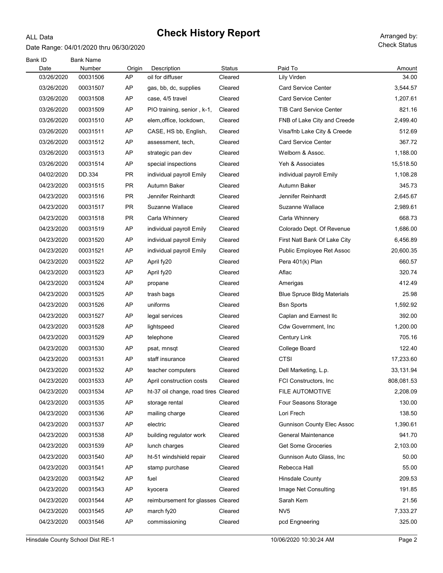#### ALL Data

# Check History Report Arranged by:

Date Range: 04/01/2020 thru 06/30/2020

| Bank ID<br>Date | <b>Bank Name</b><br>Number | Origin    | Description                          | Status  | Paid To                           | Amount     |
|-----------------|----------------------------|-----------|--------------------------------------|---------|-----------------------------------|------------|
| 03/26/2020      | 00031506                   | AP        | oil for diffuser                     | Cleared | Lily Virden                       | 34.00      |
| 03/26/2020      | 00031507                   | AP        | gas, bb, dc, supplies                | Cleared | <b>Card Service Center</b>        | 3,544.57   |
| 03/26/2020      | 00031508                   | AP        | case, 4/5 travel                     | Cleared | <b>Card Service Center</b>        | 1,207.61   |
| 03/26/2020      | 00031509                   | AP        | PIO training, senior, k-1,           | Cleared | <b>TIB Card Service Center</b>    | 821.16     |
| 03/26/2020      | 00031510                   | AP        | elem, office, lockdown,              | Cleared | FNB of Lake City and Creede       | 2,499.40   |
| 03/26/2020      | 00031511                   | AP        | CASE, HS bb, English,                | Cleared | Visa/fnb Lake City & Creede       | 512.69     |
| 03/26/2020      | 00031512                   | AP        | assessment, tech,                    | Cleared | <b>Card Service Center</b>        | 367.72     |
| 03/26/2020      | 00031513                   | AP        | strategic pan dev                    | Cleared | Welborn & Assoc.                  | 1,188.00   |
| 03/26/2020      | 00031514                   | AP        | special inspections                  | Cleared | Yeh & Associates                  | 15,518.50  |
| 04/02/2020      | DD.334                     | PR.       | individual payroll Emily             | Cleared | individual payroll Emily          | 1,108.28   |
| 04/23/2020      | 00031515                   | <b>PR</b> | Autumn Baker                         | Cleared | Autumn Baker                      | 345.73     |
| 04/23/2020      | 00031516                   | PR.       | Jennifer Reinhardt                   | Cleared | Jennifer Reinhardt                | 2,645.67   |
| 04/23/2020      | 00031517                   | <b>PR</b> | Suzanne Wallace                      | Cleared | Suzanne Wallace                   | 2,989.61   |
| 04/23/2020      | 00031518                   | <b>PR</b> | Carla Whinnery                       | Cleared | Carla Whinnery                    | 668.73     |
| 04/23/2020      | 00031519                   | AP        | individual payroll Emily             | Cleared | Colorado Dept. Of Revenue         | 1,686.00   |
| 04/23/2020      | 00031520                   | AP        | individual payroll Emily             | Cleared | First Natl Bank Of Lake City      | 6,456.89   |
| 04/23/2020      | 00031521                   | AP        | individual payroll Emily             | Cleared | Public Employee Ret Assoc         | 20,600.35  |
| 04/23/2020      | 00031522                   | AP        | April fy20                           | Cleared | Pera 401(k) Plan                  | 660.57     |
| 04/23/2020      | 00031523                   | AP        | April fy20                           | Cleared | Aflac                             | 320.74     |
| 04/23/2020      | 00031524                   | AP        | propane                              | Cleared | Amerigas                          | 412.49     |
| 04/23/2020      | 00031525                   | AP        | trash bags                           | Cleared | <b>Blue Spruce Bldg Materials</b> | 25.98      |
| 04/23/2020      | 00031526                   | AP        | uniforms                             | Cleared | <b>Bsn Sports</b>                 | 1,592.92   |
| 04/23/2020      | 00031527                   | AP        | legal services                       | Cleared | Caplan and Earnest IIc            | 392.00     |
| 04/23/2020      | 00031528                   | AP        | lightspeed                           | Cleared | Cdw Government, Inc               | 1,200.00   |
| 04/23/2020      | 00031529                   | AP        | telephone                            | Cleared | <b>Century Link</b>               | 705.16     |
| 04/23/2020      | 00031530                   | AP        | psat, mnsqt                          | Cleared | College Board                     | 122.40     |
| 04/23/2020      | 00031531                   | AP        | staff insurance                      | Cleared | <b>CTSI</b>                       | 17,233.60  |
| 04/23/2020      | 00031532                   | AP        | teacher computers                    | Cleared | Dell Marketing, L.p.              | 33,131.94  |
| 04/23/2020      | 00031533                   | <b>AP</b> | April construction costs             | Cleared | FCI Constructors, Inc             | 808,081.53 |
| 04/23/2020      | 00031534                   | AP        | ht-37 oil change, road tires Cleared |         | FILE AUTOMOTIVE                   | 2,208.09   |
| 04/23/2020      | 00031535                   | AP        | storage rental                       | Cleared | Four Seasons Storage              | 130.00     |
| 04/23/2020      | 00031536                   | AP        | mailing charge                       | Cleared | Lori Frech                        | 138.50     |
| 04/23/2020      | 00031537                   | AP        | electric                             | Cleared | <b>Gunnison County Elec Assoc</b> | 1,390.61   |
| 04/23/2020      | 00031538                   | AP        | building regulator work              | Cleared | General Maintenance               | 941.70     |
| 04/23/2020      | 00031539                   | AP        | lunch charges                        | Cleared | <b>Get Some Groceries</b>         | 2,103.00   |
| 04/23/2020      | 00031540                   | AP        | ht-51 windshield repair              | Cleared | Gunnison Auto Glass, Inc.         | 50.00      |
| 04/23/2020      | 00031541                   | AP        | stamp purchase                       | Cleared | Rebecca Hall                      | 55.00      |
| 04/23/2020      | 00031542                   | AP        | fuel                                 | Cleared | <b>Hinsdale County</b>            | 209.53     |
| 04/23/2020      | 00031543                   | AP        | kyocera                              | Cleared | Image Net Consulting              | 191.85     |
| 04/23/2020      | 00031544                   | AP        | reimbursement for glasses Cleared    |         | Sarah Kem                         | 21.56      |
| 04/23/2020      | 00031545                   | AP        | march fy20                           | Cleared | NV <sub>5</sub>                   | 7,333.27   |
| 04/23/2020      | 00031546                   | AP        | commissioning                        | Cleared | pcd Engneering                    | 325.00     |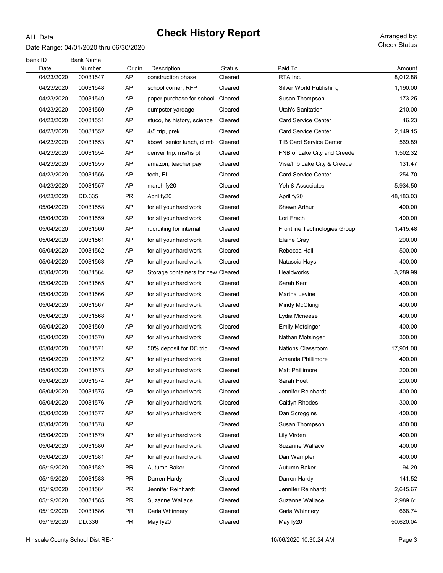#### Date Range: 04/01/2020 thru 06/30/2020

ALL Data

| Bank ID<br>Date | <b>Bank Name</b><br>Number | Origin    | Description                        | <b>Status</b> | Paid To                        | Amount    |
|-----------------|----------------------------|-----------|------------------------------------|---------------|--------------------------------|-----------|
| 04/23/2020      | 00031547                   | AP        | construction phase                 | Cleared       | RTA Inc.                       | 8,012.88  |
| 04/23/2020      | 00031548                   | AP        | school corner, RFP                 | Cleared       | Silver World Publishing        | 1,190.00  |
| 04/23/2020      | 00031549                   | AP        | paper purchase for school Cleared  |               | Susan Thompson                 | 173.25    |
| 04/23/2020      | 00031550                   | AP        | dumpster yardage                   | Cleared       | Utah's Sanitation              | 210.00    |
| 04/23/2020      | 00031551                   | AP        | stuco, hs history, science         | Cleared       | Card Service Center            | 46.23     |
| 04/23/2020      | 00031552                   | AP        | 4/5 trip, prek                     | Cleared       | <b>Card Service Center</b>     | 2,149.15  |
| 04/23/2020      | 00031553                   | AP        | kbowl. senior lunch, climb         | Cleared       | <b>TIB Card Service Center</b> | 569.89    |
| 04/23/2020      | 00031554                   | AP        | denver trip, ms/hs pt              | Cleared       | FNB of Lake City and Creede    | 1,502.32  |
| 04/23/2020      | 00031555                   | AP        | amazon, teacher pay                | Cleared       | Visa/fnb Lake City & Creede    | 131.47    |
| 04/23/2020      | 00031556                   | AP        | tech, EL                           | Cleared       | <b>Card Service Center</b>     | 254.70    |
| 04/23/2020      | 00031557                   | AP        | march fy20                         | Cleared       | Yeh & Associates               | 5,934.50  |
| 04/23/2020      | DD.335                     | <b>PR</b> | April fy20                         | Cleared       | April fy20                     | 48,183.03 |
| 05/04/2020      | 00031558                   | AP        | for all your hard work             | Cleared       | Shawn Arthur                   | 400.00    |
| 05/04/2020      | 00031559                   | AP        | for all your hard work             | Cleared       | Lori Frech                     | 400.00    |
| 05/04/2020      | 00031560                   | AP        | rucruiting for internal            | Cleared       | Frontline Technologies Group,  | 1,415.48  |
| 05/04/2020      | 00031561                   | AP        | for all your hard work             | Cleared       | Elaine Gray                    | 200.00    |
| 05/04/2020      | 00031562                   | AP        | for all your hard work             | Cleared       | Rebecca Hall                   | 500.00    |
| 05/04/2020      | 00031563                   | AP        | for all your hard work             | Cleared       | Natascia Hays                  | 400.00    |
| 05/04/2020      | 00031564                   | AP        | Storage containers for new Cleared |               | Healdworks                     | 3,289.99  |
| 05/04/2020      | 00031565                   | AP        | for all your hard work             | Cleared       | Sarah Kem                      | 400.00    |
| 05/04/2020      | 00031566                   | AP        | for all your hard work             | Cleared       | Martha Levine                  | 400.00    |
| 05/04/2020      | 00031567                   | AP        | for all your hard work             | Cleared       | Mindy McClung                  | 400.00    |
| 05/04/2020      | 00031568                   | AP        | for all your hard work             | Cleared       | Lydia Mcneese                  | 400.00    |
| 05/04/2020      | 00031569                   | AP        | for all your hard work             | Cleared       | Emily Motsinger                | 400.00    |
| 05/04/2020      | 00031570                   | AP        | for all your hard work             | Cleared       | Nathan Motsinger               | 300.00    |
| 05/04/2020      | 00031571                   | AP        | 50% deposit for DC trip            | Cleared       | <b>Nations Classroom</b>       | 17,901.00 |
| 05/04/2020      | 00031572                   | AP        | for all your hard work             | Cleared       | Amanda Phillimore              | 400.00    |
| 05/04/2020      | 00031573                   | AP        | for all your hard work             | Cleared       | Matt Phillimore                | 200.00    |
| 05/04/2020      | 00031574                   | AP        | for all your hard work             | Cleared       | Sarah Poet                     | 200.00    |
| 05/04/2020      | 00031575                   | AP        | for all your hard work             | Cleared       | Jennifer Reinhardt             | 400.00    |
| 05/04/2020      | 00031576                   | AP        | for all your hard work             | Cleared       | Caitlyn Rhodes                 | 300.00    |
| 05/04/2020      | 00031577                   | AP        | for all your hard work             | Cleared       | Dan Scroggins                  | 400.00    |
| 05/04/2020      | 00031578                   | AP        |                                    | Cleared       | Susan Thompson                 | 400.00    |
| 05/04/2020      | 00031579                   | AP        | for all your hard work             | Cleared       | Lily Virden                    | 400.00    |
| 05/04/2020      | 00031580                   | AP        | for all your hard work             | Cleared       | Suzanne Wallace                | 400.00    |
| 05/04/2020      | 00031581                   | AP        | for all your hard work             | Cleared       | Dan Wampler                    | 400.00    |
| 05/19/2020      | 00031582                   | <b>PR</b> | Autumn Baker                       | Cleared       | Autumn Baker                   | 94.29     |
| 05/19/2020      | 00031583                   | <b>PR</b> | Darren Hardy                       | Cleared       | Darren Hardy                   | 141.52    |
| 05/19/2020      | 00031584                   | <b>PR</b> | Jennifer Reinhardt                 | Cleared       | Jennifer Reinhardt             | 2,645.67  |
| 05/19/2020      | 00031585                   | <b>PR</b> | Suzanne Wallace                    | Cleared       | Suzanne Wallace                | 2,989.61  |
| 05/19/2020      | 00031586                   | <b>PR</b> | Carla Whinnery                     | Cleared       | Carla Whinnery                 | 668.74    |
| 05/19/2020      | DD.336                     | PR        | May fy20                           | Cleared       | May fy20                       | 50,620.04 |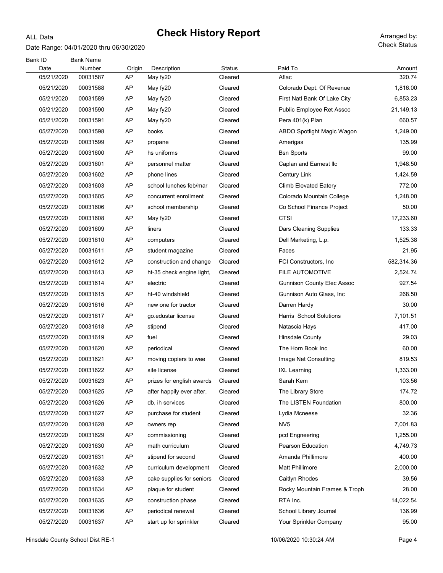#### Date Range: 04/01/2020 thru 06/30/2020

ALL Data

| Bank ID            | <b>Bank Name</b>   |              |                           |                          |                                   |                  |
|--------------------|--------------------|--------------|---------------------------|--------------------------|-----------------------------------|------------------|
| Date<br>05/21/2020 | Number<br>00031587 | Origin<br>AP | Description<br>May fy20   | <b>Status</b><br>Cleared | Paid To<br>Aflac                  | Amount<br>320.74 |
| 05/21/2020         | 00031588           | AP           | May fy20                  | Cleared                  | Colorado Dept. Of Revenue         | 1,816.00         |
| 05/21/2020         | 00031589           | AP           | May fy20                  | Cleared                  | First Natl Bank Of Lake City      | 6,853.23         |
| 05/21/2020         | 00031590           | AP           | May fy20                  | Cleared                  | Public Employee Ret Assoc         | 21,149.13        |
| 05/21/2020         | 00031591           | AP           | May fy20                  | Cleared                  | Pera 401(k) Plan                  | 660.57           |
| 05/27/2020         |                    | AP           |                           | Cleared                  | ABDO Spotlight Magic Wagon        | 1,249.00         |
|                    | 00031598           |              | books                     |                          |                                   | 135.99           |
| 05/27/2020         | 00031599           | AP           | propane                   | Cleared                  | Amerigas                          |                  |
| 05/27/2020         | 00031600           | AP           | hs uniforms               | Cleared                  | <b>Bsn Sports</b>                 | 99.00            |
| 05/27/2020         | 00031601           | AP           | personnel matter          | Cleared                  | Caplan and Earnest IIc            | 1,948.50         |
| 05/27/2020         | 00031602           | AP           | phone lines               | Cleared                  | Century Link                      | 1,424.59         |
| 05/27/2020         | 00031603           | AP           | school lunches feb/mar    | Cleared                  | Climb Elevated Eatery             | 772.00           |
| 05/27/2020         | 00031605           | AP           | concurrent enrollment     | Cleared                  | Colorado Mountain College         | 1,248.00         |
| 05/27/2020         | 00031606           | AP           | school membership         | Cleared                  | Co School Finance Project         | 50.00            |
| 05/27/2020         | 00031608           | AP           | May fy20                  | Cleared                  | <b>CTSI</b>                       | 17,233.60        |
| 05/27/2020         | 00031609           | AP           | liners                    | Cleared                  | Dars Cleaning Supplies            | 133.33           |
| 05/27/2020         | 00031610           | AP           | computers                 | Cleared                  | Dell Marketing, L.p.              | 1,525.38         |
| 05/27/2020         | 00031611           | AP           | student magazine          | Cleared                  | Faces                             | 21.95            |
| 05/27/2020         | 00031612           | AP           | construction and change   | Cleared                  | FCI Constructors, Inc.            | 582,314.36       |
| 05/27/2020         | 00031613           | AP           | ht-35 check engine light, | Cleared                  | <b>FILE AUTOMOTIVE</b>            | 2,524.74         |
| 05/27/2020         | 00031614           | AP           | electric                  | Cleared                  | <b>Gunnison County Elec Assoc</b> | 927.54           |
| 05/27/2020         | 00031615           | AP           | ht-40 windshield          | Cleared                  | Gunnison Auto Glass, Inc.         | 268.50           |
| 05/27/2020         | 00031616           | AP           | new one for tractor       | Cleared                  | Darren Hardy                      | 30.00            |
| 05/27/2020         | 00031617           | AP           | go.edustar license        | Cleared                  | Harris School Solutions           | 7,101.51         |
| 05/27/2020         | 00031618           | AP           | stipend                   | Cleared                  | Natascia Hays                     | 417.00           |
| 05/27/2020         | 00031619           | AP           | fuel                      | Cleared                  | <b>Hinsdale County</b>            | 29.03            |
| 05/27/2020         | 00031620           | AP           | periodical                | Cleared                  | The Horn Book Inc                 | 60.00            |
| 05/27/2020         | 00031621           | AP           | moving copiers to wee     | Cleared                  | Image Net Consulting              | 819.53           |
| 05/27/2020         | 00031622           | AP           | site license              | Cleared                  | <b>IXL Learning</b>               | 1,333.00         |
| 05/27/2020         | 00031623           | AP           | prizes for english awards | Cleared                  | Sarah Kem                         | 103.56           |
| 05/27/2020         | 00031625           | AP           | after happily ever after, | Cleared                  | The Library Store                 | 174.72           |
| 05/27/2020         | 00031626           | AP           | db, ih services           | Cleared                  | The LISTEN Foundation             | 800.00           |
| 05/27/2020         | 00031627           | AP           | purchase for student      | Cleared                  | Lydia Mcneese                     | 32.36            |
| 05/27/2020         | 00031628           | AP           | owners rep                | Cleared                  | NV <sub>5</sub>                   | 7,001.83         |
| 05/27/2020         | 00031629           | AP           | commissioning             | Cleared                  | pcd Engneering                    | 1,255.00         |
| 05/27/2020         | 00031630           | AP           | math curriculum           | Cleared                  | Pearson Education                 | 4,749.73         |
| 05/27/2020         | 00031631           | AP           | stipend for second        | Cleared                  | Amanda Phillimore                 | 400.00           |
| 05/27/2020         | 00031632           | AP           | curriculum development    | Cleared                  | Matt Phillimore                   | 2,000.00         |
| 05/27/2020         | 00031633           | AP           | cake supplies for seniors | Cleared                  | Caitlyn Rhodes                    | 39.56            |
| 05/27/2020         | 00031634           | AP           | plaque for student        | Cleared                  | Rocky Mountain Frames & Troph     | 28.00            |
| 05/27/2020         | 00031635           | AP           | construction phase        | Cleared                  | RTA Inc.                          | 14,022.54        |
| 05/27/2020         | 00031636           | AP           | periodical renewal        | Cleared                  | School Library Journal            | 136.99           |
| 05/27/2020         | 00031637           | AP           | start up for sprinkler    | Cleared                  | Your Sprinkler Company            | 95.00            |
|                    |                    |              |                           |                          |                                   |                  |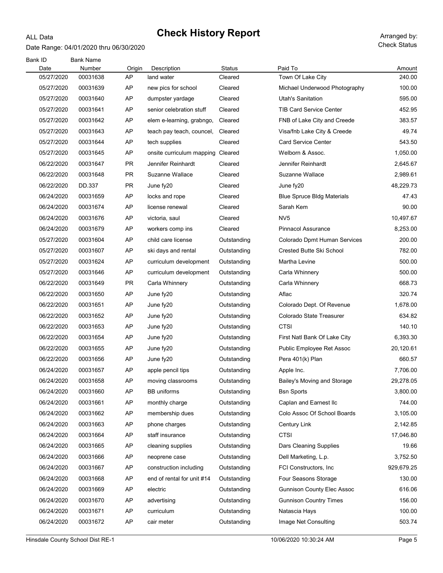#### Date Range: 04/01/2020 thru 06/30/2020

ALL Data

| Bank ID<br>Date          | <b>Bank Name</b><br>Number |              |                                         | Status                     | Paid To                                                   |                       |
|--------------------------|----------------------------|--------------|-----------------------------------------|----------------------------|-----------------------------------------------------------|-----------------------|
| 05/27/2020               | 00031638                   | Origin<br>AP | Description<br>land water               | Cleared                    | Town Of Lake City                                         | Amount<br>240.00      |
| 05/27/2020               | 00031639                   | AP           | new pics for school                     | Cleared                    | Michael Underwood Photography                             | 100.00                |
| 05/27/2020               | 00031640                   | AP           | dumpster yardage                        | Cleared                    | <b>Utah's Sanitation</b>                                  | 595.00                |
| 05/27/2020               | 00031641                   | AP           | senior celebration stuff                | Cleared                    | <b>TIB Card Service Center</b>                            | 452.95                |
| 05/27/2020               | 00031642                   | AP           | elem e-learning, grabngo,               | Cleared                    | FNB of Lake City and Creede                               | 383.57                |
| 05/27/2020               | 00031643                   | AP           | teach pay teach, councel,               | Cleared                    | Visa/fnb Lake City & Creede                               | 49.74                 |
| 05/27/2020               | 00031644                   | AP           | tech supplies                           | Cleared                    | <b>Card Service Center</b>                                | 543.50                |
| 05/27/2020               | 00031645                   | AP           | onsite curriculum mapping               | Cleared                    | Welborn & Assoc.                                          | 1,050.00              |
| 06/22/2020               | 00031647                   | PR           | Jennifer Reinhardt                      | Cleared                    | Jennifer Reinhardt                                        | 2,645.67              |
| 06/22/2020               | 00031648                   | <b>PR</b>    | Suzanne Wallace                         | Cleared                    | Suzanne Wallace                                           | 2,989.61              |
| 06/22/2020               | DD.337                     | <b>PR</b>    | June fy20                               | Cleared                    | June fy20                                                 | 48,229.73             |
| 06/24/2020               | 00031659                   | AP           | locks and rope                          | Cleared                    | <b>Blue Spruce Bldg Materials</b>                         | 47.43                 |
| 06/24/2020               | 00031674                   | AP           | license renewal                         | Cleared                    | Sarah Kem                                                 | 90.00                 |
| 06/24/2020               | 00031676                   | AP           | victoria, saul                          | Cleared                    | NV <sub>5</sub>                                           | 10,497.67             |
| 06/24/2020               | 00031679                   | AP           | workers comp ins                        | Cleared                    | <b>Pinnacol Assurance</b>                                 | 8,253.00              |
| 05/27/2020               | 00031604                   | AP           | child care license                      | Outstanding                | Colorado Dpmt Human Services                              | 200.00                |
| 05/27/2020               | 00031607                   | AP           | ski days and rental                     | Outstanding                | <b>Crested Butte Ski School</b>                           | 782.00                |
| 05/27/2020               | 00031624                   | AP           | curriculum development                  | Outstanding                | Martha Levine                                             | 500.00                |
| 05/27/2020               | 00031646                   | AP           | curriculum development                  | Outstanding                | Carla Whinnery                                            | 500.00                |
| 06/22/2020               | 00031649                   | <b>PR</b>    | Carla Whinnery                          | Outstanding                | Carla Whinnery                                            | 668.73                |
| 06/22/2020               | 00031650                   | AP           | June fy20                               | Outstanding                | Aflac                                                     | 320.74                |
| 06/22/2020               | 00031651                   | AP           | June fy20                               | Outstanding                | Colorado Dept. Of Revenue                                 | 1,678.00              |
| 06/22/2020               |                            | AP           |                                         |                            | Colorado State Treasurer                                  | 634.82                |
| 06/22/2020               | 00031652                   | AP           | June fy20                               | Outstanding                | CTSI                                                      | 140.10                |
| 06/22/2020               | 00031653                   | AP           | June fy20                               | Outstanding                |                                                           | 6,393.30              |
| 06/22/2020               | 00031654                   | AP           | June fy20                               | Outstanding                | First Natl Bank Of Lake City<br>Public Employee Ret Assoc |                       |
| 06/22/2020               | 00031655                   | AP           | June fy20                               | Outstanding                |                                                           | 20,120.61<br>660.57   |
| 06/24/2020               | 00031656<br>00031657       | AP           | June fy20                               | Outstanding                | Pera 401(k) Plan                                          | 7,706.00              |
| 06/24/2020               |                            |              | apple pencil tips                       | Outstanding                | Apple Inc.                                                |                       |
|                          | 00031658                   | AP           | moving classrooms<br><b>BB</b> uniforms | Outstanding                | Bailey's Moving and Storage                               | 29,278.05<br>3,800.00 |
| 06/24/2020<br>06/24/2020 | 00031660                   | AP           |                                         | Outstanding                | <b>Bsn Sports</b>                                         |                       |
| 06/24/2020               | 00031661<br>00031662       | AP<br>AP     | monthly charge<br>membership dues       | Outstanding                | Caplan and Earnest Ilc<br>Colo Assoc Of School Boards     | 744.00<br>3,105.00    |
|                          | 00031663                   | AP           |                                         | Outstanding                | Century Link                                              |                       |
| 06/24/2020<br>06/24/2020 | 00031664                   | AP           | phone charges<br>staff insurance        | Outstanding<br>Outstanding | <b>CTSI</b>                                               | 2,142.85<br>17,046.80 |
| 06/24/2020               | 00031665                   | AP           |                                         | Outstanding                |                                                           | 19.66                 |
| 06/24/2020               |                            | AP           | cleaning supplies                       |                            | Dars Cleaning Supplies<br>Dell Marketing, L.p.            |                       |
|                          | 00031666<br>00031667       | AP           | neoprene case<br>construction including | Outstanding<br>Outstanding | FCI Constructors, Inc.                                    | 3,752.50              |
| 06/24/2020<br>06/24/2020 |                            | AP           | end of rental for unit #14              |                            | Four Seasons Storage                                      | 929,679.25<br>130.00  |
|                          | 00031668                   |              |                                         | Outstanding                |                                                           |                       |
| 06/24/2020               | 00031669                   | AP           | electric                                | Outstanding                | <b>Gunnison County Elec Assoc</b>                         | 616.06                |
| 06/24/2020               | 00031670                   | AP           | advertising                             | Outstanding                | <b>Gunnison Country Times</b>                             | 156.00                |
| 06/24/2020               | 00031671                   | AP           | curriculum                              | Outstanding                | Natascia Hays                                             | 100.00                |
| 06/24/2020               | 00031672                   | AP           | cair meter                              | Outstanding                | Image Net Consulting                                      | 503.74                |